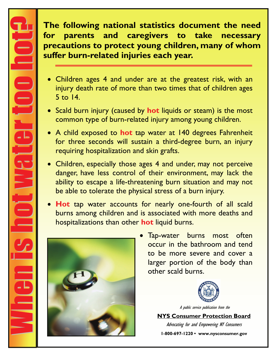**The following national statistics document the need for parents and caregivers to take necessary precautions to protect young children, many of whom suffer burn-related injuries each year.** 

- Children ages 4 and under are at the greatest risk, with an injury death rate of more than two times that of children ages 5 to 14.
- Scald burn injury (caused by **hot** liquids or steam) is the most common type of burn-related injury among young children.
- A child exposed to **hot** tap water at 140 degrees Fahrenheit for three seconds will sustain a third-degree burn, an injury requiring hospitalization and skin grafts.
- Children, especially those ages 4 and under, may not perceive danger, have less control of their environment, may lack the ability to escape a life-threatening burn situation and may not be able to tolerate the physical stress of a burn injury.
- **Hot** tap water accounts for nearly one-fourth of all scald burns among children and is associated with more deaths and hospitalizations than other **hot** liquid burns.



• Tap-water burns most often occur in the bathroom and tend to be more severe and cover a larger portion of the body than other scald burns.



A public service publication from the

**NYS Consumer Protection Board**

Advocating for and Empowering NY Consumers **1-800-697-1220 • www.nysconsumer.gov**